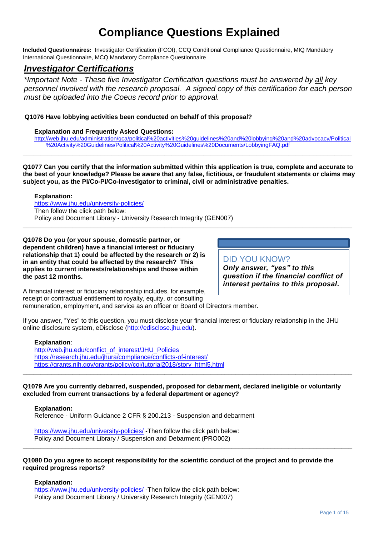# **Compliance Questions Explained**

**Included Questionnaires:** Investigator Certification (FCOI), CCQ Conditional Compliance Questionnaire, MIQ Mandatory International Questionnaire, MCQ Mandatory Compliance Questionnaire

## *Investigator Certifications*

*\*Important Note - These five Investigator Certification questions must be answered by all key personnel involved with the research proposal. A signed copy of this certification for each person must be uploaded into the Coeus record prior to approval.* 

## **Q1076 Have lobbying activities been conducted on behalf of this proposal?**

#### **Explanation and Frequently Asked Questions:**

[http://web.jhu.edu/administration/gca/political%20activities%20guidelines%20and%20lobbying%20and%20advocacy/Political](http://web.jhu.edu/administration/gca/political%20activities%20guidelines%20and%20lobbying%20and%20advocacy/Political%20Activity%20Guidelines/Political%20Activity%20Guidelines%20Documents/LobbyingFAQ.pdf) [%20Activity%20Guidelines/Political%20Activity%20Guidelines%20Documents/LobbyingFAQ.pdf](http://web.jhu.edu/administration/gca/political%20activities%20guidelines%20and%20lobbying%20and%20advocacy/Political%20Activity%20Guidelines/Political%20Activity%20Guidelines%20Documents/LobbyingFAQ.pdf)

**Q1077 Can you certify that the information submitted within this application is true, complete and accurate to the best of your knowledge? Please be aware that any false, fictitious, or fraudulent statements or claims may subject you, as the PI/Co-PI/Co-Investigator to criminal, civil or administrative penalties.**

**\_\_\_\_\_\_\_\_\_\_\_\_\_\_\_\_\_\_\_\_\_\_\_\_\_\_\_\_\_\_\_\_\_\_\_\_\_\_\_\_\_\_\_\_\_\_\_\_\_\_\_\_\_\_\_\_\_\_\_\_\_\_\_\_\_\_\_\_\_\_\_\_\_\_\_\_\_\_\_\_\_\_\_\_\_\_\_\_\_\_\_\_\_**

**\_\_\_\_\_\_\_\_\_\_\_\_\_\_\_\_\_\_\_\_\_\_\_\_\_\_\_\_\_\_\_\_\_\_\_\_\_\_\_\_\_\_\_\_\_\_\_\_\_\_\_\_\_\_\_\_\_\_\_\_\_\_\_\_\_\_\_\_\_\_\_\_\_\_\_\_\_\_\_\_\_\_\_\_\_\_\_\_\_\_\_\_\_**

#### **Explanation:**

<https://www.jhu.edu/university-policies/> Then follow the click path below: Policy and Document Library - University Research Integrity (GEN007)

**Q1078 Do you (or your spouse, domestic partner, or dependent children) have a financial interest or fiduciary relationship that 1) could be affected by the research or 2) is in an entity that could be affected by the research? This applies to current interests/relationships and those within the past 12 months.** 

## DID YOU KNOW?

*Only answer, "yes" to this question if the financial conflict of interest pertains to this proposal.*

A financial interest or fiduciary relationship includes, for example, receipt or contractual entitlement to royalty, equity, or consulting remuneration, employment, and service as an officer or Board of Directors member.

If you answer, "Yes" to this question, you must disclose your financial interest or fiduciary relationship in the JHU online disclosure system, eDisclose [\(http://edisclose.jhu.edu\)](http://edisclose.jhu.edu/).

#### **Explanation**:

[http://web.jhu.edu/conflict\\_of\\_interest/JHU\\_Policies](http://web.jhu.edu/conflict_of_interest/JHU_Policies) <https://research.jhu.edu/jhura/compliance/conflicts-of-interest/> [https://grants.nih.gov/grants/policy/coi/tutorial2018/story\\_html5.html](https://grants.nih.gov/grants/policy/coi/tutorial2018/story_html5.html)

**Q1079 Are you currently debarred, suspended, proposed for debarment, declared ineligible or voluntarily excluded from current transactions by a federal department or agency?**

**\_\_\_\_\_\_\_\_\_\_\_\_\_\_\_\_\_\_\_\_\_\_\_\_\_\_\_\_\_\_\_\_\_\_\_\_\_\_\_\_\_\_\_\_\_\_\_\_\_\_\_\_\_\_\_\_\_\_\_\_\_\_\_\_\_\_\_\_\_\_\_\_\_\_\_\_\_\_\_\_\_\_\_\_\_\_\_\_\_\_\_\_\_**

**Explanation:** 

Reference - Uniform Guidance 2 CFR § 200.213 - Suspension and debarment

<https://www.jhu.edu/university-policies/> -Then follow the click path below: Policy and Document Library / Suspension and Debarment (PRO002)

#### **Q1080 Do you agree to accept responsibility for the scientific conduct of the project and to provide the required progress reports?**

**\_\_\_\_\_\_\_\_\_\_\_\_\_\_\_\_\_\_\_\_\_\_\_\_\_\_\_\_\_\_\_\_\_\_\_\_\_\_\_\_\_\_\_\_\_\_\_\_\_\_\_\_\_\_\_\_\_\_\_\_\_\_\_\_\_\_\_\_\_\_\_\_\_\_\_\_\_\_\_\_\_\_\_\_\_\_\_\_\_\_\_\_\_**

#### **Explanation:**

<https://www.jhu.edu/university-policies/> -Then follow the click path below: Policy and Document Library / University Research Integrity (GEN007)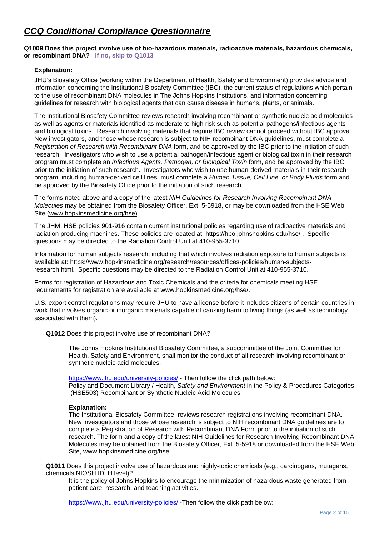## *CCQ Conditional Compliance Questionnaire*

**Q1009 Does this project involve use of bio-hazardous materials, radioactive materials, hazardous chemicals, or recombinant DNA? If no, skip to Q1013**

## **Explanation:**

JHU's Biosafety Office (working within the Department of Health, Safety and Environment) provides advice and information concerning the Institutional Biosafety Committee (IBC), the current status of regulations which pertain to the use of recombinant DNA molecules in The Johns Hopkins Institutions, and information concerning guidelines for research with biological agents that can cause disease in humans, plants, or animals.

The Institutional Biosafety Committee reviews research involving recombinant or synthetic nucleic acid molecules as well as agents or materials identified as moderate to high risk such as potential pathogens/infectious agents and biological toxins. Research involving materials that require IBC review cannot proceed without IBC approval. New investigators, and those whose research is subject to NIH recombinant DNA guidelines, must complete a *Registration of Research with Recombinant DNA* form, and be approved by the IBC prior to the initiation of such research. Investigators who wish to use a potential pathogen/infectious agent or biological toxin in their research program must complete an *Infectious Agents, Pathogen, or Biological Toxin* form, and be approved by the IBC prior to the initiation of such research. Investigators who wish to use human-derived materials in their research program, including human-derived cell lines, must complete a *Human Tissue, Cell Line, or Body Fluids* form and be approved by the Biosafety Office prior to the initiation of such research.

The forms noted above and a copy of the latest *NIH Guidelines for Research Involving Recombinant DNA Molecules* may be obtained from the Biosafety Officer, Ext. 5-5918, or may be downloaded from the HSE Web Site [\(www.hopkinsmedicine.org/hse\)](http://www.hopkinsmedicine.org/hse).

The JHMI HSE policies 901-916 contain current institutional policies regarding use of radioactive materials and radiation producing machines. These policies are located at:<https://hpo.johnshopkins.edu/hse/> . Specific questions may be directed to the Radiation Control Unit at 410-955-3710.

Information for human subjects research, including that which involves radiation exposure to human subjects is available at: [https://www.hopkinsmedicine.org/research/resources/offices-policies/human-subjects](https://www.hopkinsmedicine.org/research/resources/offices-policies/human-subjects-research.html)[research.html.](https://www.hopkinsmedicine.org/research/resources/offices-policies/human-subjects-research.html) Specific questions may be directed to the Radiation Control Unit at 410-955-3710.

Forms for registration of Hazardous and Toxic Chemicals and the criteria for chemicals meeting HSE requirements for registration are available at www.hopkinsmedicine.org/hse/.

U.S. export control regulations may require JHU to have a license before it includes citizens of certain countries in work that involves organic or inorganic materials capable of causing harm to living things (as well as technology associated with them).

**Q1012** Does this project involve use of recombinant DNA?

The Johns Hopkins Institutional Biosafety Committee, a subcommittee of the Joint Committee for Health, Safety and Environment, shall monitor the conduct of all research involving recombinant or synthetic nucleic acid molecules.

<https://www.jhu.edu/university-policies/> - Then follow the click path below: Policy and Document Library / Health, *Safety and Environment* in the Policy & Procedures Categories (HSE503) Recombinant or Synthetic Nucleic Acid Molecules

## **Explanation:**

The Institutional Biosafety Committee, reviews research registrations involving recombinant DNA. New investigators and those whose research is subject to NIH recombinant DNA guidelines are to complete a Registration of Research with Recombinant DNA Form prior to the initiation of such research. The form and a copy of the latest NIH Guidelines for Research Involving Recombinant DNA Molecules may be obtained from the Biosafety Officer, Ext. 5-5918 or downloaded from the HSE Web Site, www.hopkinsmedicine.org/hse.

**Q1011** Does this project involve use of hazardous and highly-toxic chemicals (e.g., carcinogens, mutagens, chemicals NIOSH IDLH level)?

It is the policy of Johns Hopkins to encourage the minimization of hazardous waste generated from patient care, research, and teaching activities.

[https://www.jhu.edu/university-policies/](https://www.jhu.edu/university-policies/T) -Then follow the click path below: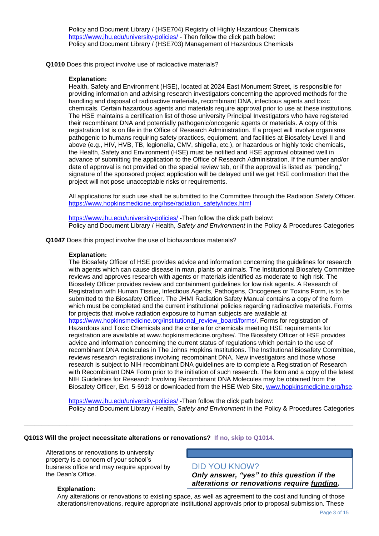Policy and Document Library / (HSE704) Registry of Highly Hazardous Chemicals <https://www.jhu.edu/university-policies/> - Then follow the click path below: Policy and Document Library / (HSE703) Management of Hazardous Chemicals

**Q1010** Does this project involve use of radioactive materials?

#### **Explanation:**

Health, Safety and Environment (HSE), located at 2024 East Monument Street, is responsible for providing information and advising research investigators concerning the approved methods for the handling and disposal of radioactive materials, recombinant DNA, infectious agents and toxic chemicals. Certain hazardous agents and materials require approval prior to use at these institutions. The HSE maintains a certification list of those university Principal Investigators who have registered their recombinant DNA and potentially pathogenic/oncogenic agents or materials. A copy of this registration list is on file in the Office of Research Administration. If a project will involve organisms pathogenic to humans requiring safety practices, equipment, and facilities at Biosafety Level II and above (e.g., HIV, HVB, TB, legionella, CMV, shigella, etc.), or hazardous or highly toxic chemicals, the Health, Safety and Environment (HSE) must be notified and HSE approval obtained well in advance of submitting the application to the Office of Research Administration. If the number and/or date of approval is not provided on the special review tab, or if the approval is listed as "pending," signature of the sponsored project application will be delayed until we get HSE confirmation that the project will not pose unacceptable risks or requirements.

All applications for such use shall be submitted to the Committee through the Radiation Safety Officer. [https://www.hopkinsmedicine.org/hse/radiation\\_safety/index.html](https://www.hopkinsmedicine.org/hse/radiation_safety/index.html)

<https://www.jhu.edu/university-policies/> -Then follow the click path below: Policy and Document Library / Health, *Safety and Environment* in the Policy & Procedures Categories

**Q1047** Does this project involve the use of biohazardous materials?

#### **Explanation:**

The Biosafety Officer of HSE provides advice and information concerning the guidelines for research with agents which can cause disease in man, plants or animals. The Institutional Biosafety Committee reviews and approves research with agents or materials identified as moderate to high risk. The Biosafety Officer provides review and containment guidelines for low risk agents. A Research of Registration with Human Tissue, Infectious Agents, Pathogens, Oncogenes or Toxins Form, is to be submitted to the Biosafety Officer. The JHMI Radiation Safety Manual contains a copy of the form which must be completed and the current institutional policies regarding radioactive materials. Forms for projects that involve radiation exposure to human subjects are available at [https://www.hopkinsmedicine.org/institutional\\_review\\_board/forms/.](https://www.hopkinsmedicine.org/institutional_review_board/forms/) Forms for registration of Hazardous and Toxic Chemicals and the criteria for chemicals meeting HSE requirements for registration are available at www.hopkinsmedicine.org/hse/. The Biosafety Officer of HSE provides advice and information concerning the current status of regulations which pertain to the use of recombinant DNA molecules in The Johns Hopkins Institutions. The Institutional Biosafety Committee, reviews research registrations involving recombinant DNA. New investigators and those whose research is subject to NIH recombinant DNA guidelines are to complete a Registration of Research with Recombinant DNA Form prior to the initiation of such research. The form and a copy of the latest NIH Guidelines for Research Involving Recombinant DNA Molecules may be obtained from the Biosafety Officer, Ext. 5-5918 or downloaded from the HSE Web Site, [www.hopkinsmedicine.org/hse.](http://www.hopkinsmedicine.org/hse)

<https://www.jhu.edu/university-policies/> -Then follow the click path below: Policy and Document Library / Health, *Safety and Environment* in the Policy & Procedures Categories

**\_\_\_\_\_\_\_\_\_\_\_\_\_\_\_\_\_\_\_\_\_\_\_\_\_\_\_\_\_\_\_\_\_\_\_\_\_\_\_\_\_\_\_\_\_\_\_\_\_\_\_\_\_\_\_\_\_\_\_\_\_\_\_\_\_\_\_\_\_\_\_\_\_\_\_\_\_\_\_\_\_\_\_\_\_\_\_\_\_\_\_\_\_**

#### **Q1013 Will the project necessitate alterations or renovations? If no, skip to Q1014.**

Alterations or renovations to university property is a concern of your school's business office and may require approval by the Dean's Office.

## DID YOU KNOW?

*Only answer, "yes" to this question if the alterations or renovations require funding.*

#### **Explanation:**

Any alterations or renovations to existing space, as well as agreement to the cost and funding of those alterations/renovations, require appropriate institutional approvals prior to proposal submission. These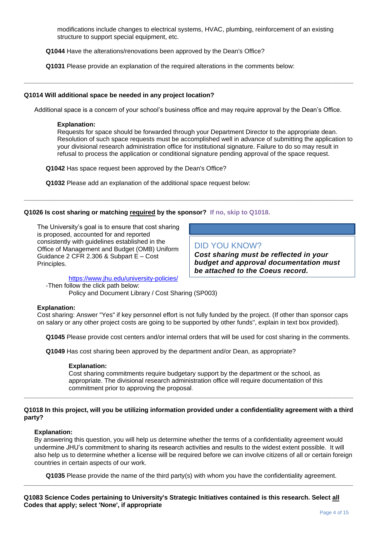modifications include changes to electrical systems, HVAC, plumbing, reinforcement of an existing structure to support special equipment, etc.

**Q1044** Have the alterations/renovations been approved by the Dean's Office?

**Q1031** Please provide an explanation of the required alterations in the comments below:

#### **Q1014 Will additional space be needed in any project location?**

Additional space is a concern of your school's business office and may require approval by the Dean's Office.

**\_\_\_\_\_\_\_\_\_\_\_\_\_\_\_\_\_\_\_\_\_\_\_\_\_\_\_\_\_\_\_\_\_\_\_\_\_\_\_\_\_\_\_\_\_\_\_\_\_\_\_\_\_\_\_\_\_\_\_\_\_\_\_\_\_\_\_\_\_\_\_\_\_\_\_\_\_\_\_\_\_\_\_\_\_\_\_\_\_\_\_\_\_**

**\_\_\_\_\_\_\_\_\_\_\_\_\_\_\_\_\_\_\_\_\_\_\_\_\_\_\_\_\_\_\_\_\_\_\_\_\_\_\_\_\_\_\_\_\_\_\_\_\_\_\_\_\_\_\_\_\_\_\_\_\_\_\_\_\_\_\_\_\_\_\_\_\_\_\_\_\_\_\_\_\_\_\_\_\_\_\_\_\_\_\_\_\_**

#### **Explanation:**

Requests for space should be forwarded through your Department Director to the appropriate dean. Resolution of such space requests must be accomplished well in advance of submitting the application to your divisional research administration office for institutional signature. Failure to do so may result in refusal to process the application or conditional signature pending approval of the space request.

**Q1042** Has space request been approved by the Dean's Office?

**Q1032** Please add an explanation of the additional space request below:

#### **Q1026 Is cost sharing or matching required by the sponsor? If no, skip to Q1018.**

The University's goal is to ensure that cost sharing is proposed, accounted for and reported consistently with guidelines established in the Office of Management and Budget (OMB) Uniform Guidance 2 CFR 2.306 & Subpart E – Cost Principles.

DID YOU KNOW? *Cost sharing must be reflected in your budget and approval documentation must be attached to the Coeus record.*

<https://www.jhu.edu/university-policies/>

-Then follow the click path below:

Policy and Document Library / Cost Sharing (SP003)

## **Explanation:**

Cost sharing: Answer "Yes" if key personnel effort is not fully funded by the project. (If other than sponsor caps on salary or any other project costs are going to be supported by other funds", explain in text box provided).

**Q1045** Please provide cost centers and/or internal orders that will be used for cost sharing in the comments.

**Q1049** Has cost sharing been approved by the department and/or Dean, as appropriate?

#### **Explanation:**

Cost sharing commitments require budgetary support by the department or the school, as appropriate. The divisional research administration office will require documentation of this commitment prior to approving the proposal. **\_\_\_\_\_\_\_\_\_\_\_\_\_\_\_\_\_\_\_\_\_\_\_\_\_\_\_\_\_\_\_\_\_\_\_\_\_\_\_\_\_\_\_\_\_\_\_\_\_\_\_\_\_\_\_\_\_\_\_\_\_\_\_\_\_\_\_\_\_\_\_\_\_\_\_\_\_\_\_\_\_\_\_\_\_\_\_\_\_\_\_\_\_**

#### **Q1018 In this project, will you be utilizing information provided under a confidentiality agreement with a third party?**

#### **Explanation:**

By answering this question, you will help us determine whether the terms of a confidentiality agreement would undermine JHU's commitment to sharing its research activities and results to the widest extent possible. It will also help us to determine whether a license will be required before we can involve citizens of all or certain foreign countries in certain aspects of our work.

**Q1035** Please provide the name of the third party(s) with whom you have the confidentiality agreement. **\_\_\_\_\_\_\_\_\_\_\_\_\_\_\_\_\_\_\_\_\_\_\_\_\_\_\_\_\_\_\_\_\_\_\_\_\_\_\_\_\_\_\_\_\_\_\_\_\_\_\_\_\_\_\_\_\_\_\_\_\_\_\_\_\_\_\_\_\_\_\_\_\_\_\_\_\_\_\_\_\_\_\_\_\_\_\_\_\_\_\_\_\_**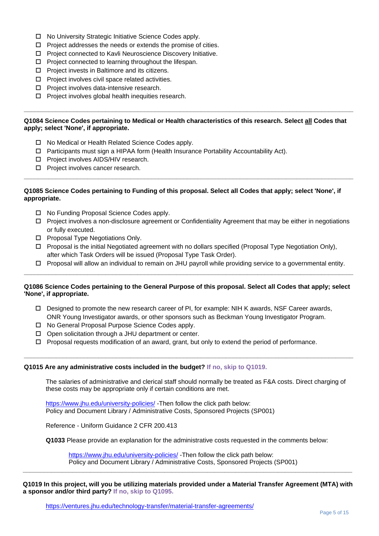- No University Strategic Initiative Science Codes apply.
- $\Box$  Project addresses the needs or extends the promise of cities.
- □ Project connected to Kavli Neuroscience Discovery Initiative.
- $\Box$  Project connected to learning throughout the lifespan.
- $\Box$  Project invests in Baltimore and its citizens.
- $\Box$  Project involves civil space related activities.
- $\square$  Project involves data-intensive research.
- $\square$  Project involves global health inequities research.

#### **Q1084 Science Codes pertaining to Medical or Health characteristics of this research. Select all Codes that apply; select 'None', if appropriate.**

**\_\_\_\_\_\_\_\_\_\_\_\_\_\_\_\_\_\_\_\_\_\_\_\_\_\_\_\_\_\_\_\_\_\_\_\_\_\_\_\_\_\_\_\_\_\_\_\_\_\_\_\_\_\_\_\_\_\_\_\_\_\_\_\_\_\_\_\_\_\_\_\_\_\_\_\_\_\_\_\_\_\_\_\_\_\_\_\_\_\_\_\_\_**

- □ No Medical or Health Related Science Codes apply.
- $\Box$  Participants must sign a HIPAA form (Health Insurance Portability Accountability Act).
- □ Project involves AIDS/HIV research.
- $\square$  Project involves cancer research.

#### **Q1085 Science Codes pertaining to Funding of this proposal. Select all Codes that apply; select 'None', if appropriate.**

**\_\_\_\_\_\_\_\_\_\_\_\_\_\_\_\_\_\_\_\_\_\_\_\_\_\_\_\_\_\_\_\_\_\_\_\_\_\_\_\_\_\_\_\_\_\_\_\_\_\_\_\_\_\_\_\_\_\_\_\_\_\_\_\_\_\_\_\_\_\_\_\_\_\_\_\_\_\_\_\_\_\_\_\_\_\_\_\_\_\_\_\_\_**

- □ No Funding Proposal Science Codes apply.
- $\Box$  Project involves a non-disclosure agreement or Confidentiality Agreement that may be either in negotiations or fully executed.
- □ Proposal Type Negotiations Only.
- $\Box$  Proposal is the initial Negotiated agreement with no dollars specified (Proposal Type Negotiation Only), after which Task Orders will be issued (Proposal Type Task Order).
- $\Box$  Proposal will allow an individual to remain on JHU payroll while providing service to a governmental entity. **\_\_\_\_\_\_\_\_\_\_\_\_\_\_\_\_\_\_\_\_\_\_\_\_\_\_\_\_\_\_\_\_\_\_\_\_\_\_\_\_\_\_\_\_\_\_\_\_\_\_\_\_\_\_\_\_\_\_\_\_\_\_\_\_\_\_\_\_\_\_\_\_\_\_\_\_\_\_\_\_\_\_\_\_\_\_\_\_\_\_\_\_\_**

#### **Q1086 Science Codes pertaining to the General Purpose of this proposal. Select all Codes that apply; select 'None', if appropriate.**

 $\Box$  Designed to promote the new research career of PI, for example: NIH K awards, NSF Career awards, ONR Young Investigator awards, or other sponsors such as Beckman Young Investigator Program.

**\_\_\_\_\_\_\_\_\_\_\_\_\_\_\_\_\_\_\_\_\_\_\_\_\_\_\_\_\_\_\_\_\_\_\_\_\_\_\_\_\_\_\_\_\_\_\_\_\_\_\_\_\_\_\_\_\_\_\_\_\_\_\_\_\_\_\_\_\_\_\_\_\_\_\_\_\_\_\_\_\_\_\_\_\_\_\_\_\_\_\_\_\_**

- □ No General Proposal Purpose Science Codes apply.
- $\Box$  Open solicitation through a JHU department or center.
- $\Box$  Proposal requests modification of an award, grant, but only to extend the period of performance.

#### **Q1015 Are any administrative costs included in the budget? If no, skip to Q1019.**

The salaries of administrative and clerical staff should normally be treated as F&A costs. Direct charging of these costs may be appropriate only if certain conditions are met.

<https://www.jhu.edu/university-policies/> -Then follow the click path below: Policy and Document Library / Administrative Costs, Sponsored Projects (SP001)

Reference - Uniform Guidance 2 CFR 200.413

**Q1033** Please provide an explanation for the administrative costs requested in the comments below:

<https://www.jhu.edu/university-policies/> -Then follow the click path below: Policy and Document Library / Administrative Costs, Sponsored Projects (SP001)

**Q1019 In this project, will you be utilizing materials provided under a Material Transfer Agreement (MTA) with a sponsor and/or third party? If no, skip to Q1095.**

**\_\_\_\_\_\_\_\_\_\_\_\_\_\_\_\_\_\_\_\_\_\_\_\_\_\_\_\_\_\_\_\_\_\_\_\_\_\_\_\_\_\_\_\_\_\_\_\_\_\_\_\_\_\_\_\_\_\_\_\_\_\_\_\_\_\_\_\_\_\_\_\_\_\_\_\_\_\_\_\_\_\_\_\_\_\_\_\_\_\_\_\_\_**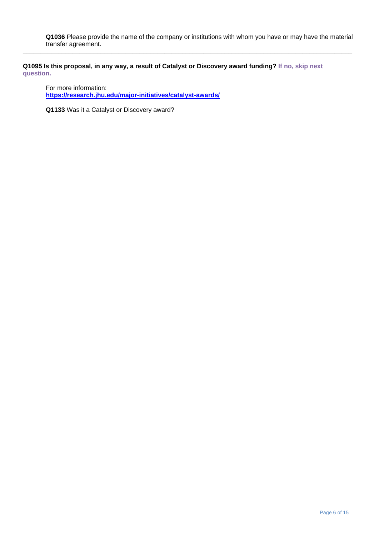**Q1036** Please provide the name of the company or institutions with whom you have or may have the material transfer agreement.

**\_\_\_\_\_\_\_\_\_\_\_\_\_\_\_\_\_\_\_\_\_\_\_\_\_\_\_\_\_\_\_\_\_\_\_\_\_\_\_\_\_\_\_\_\_\_\_\_\_\_\_\_\_\_\_\_\_\_\_\_\_\_\_\_\_\_\_\_\_\_\_\_\_\_\_\_\_\_\_\_\_\_\_\_\_\_\_\_\_\_\_\_\_**

**Q1095 Is this proposal, in any way, a result of Catalyst or Discovery award funding? If no, skip next question.**

For more information: **<https://research.jhu.edu/major-initiatives/catalyst-awards/>**

**Q1133** Was it a Catalyst or Discovery award?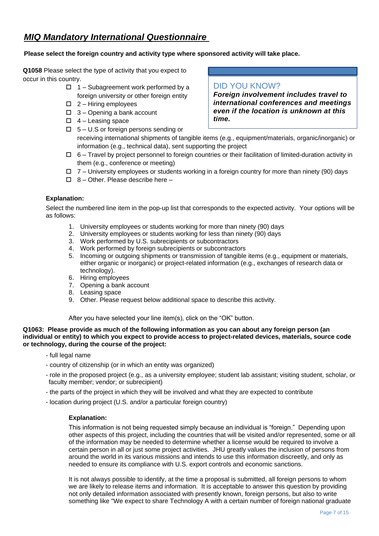## *MIQ Mandatory International Questionnaire*

## **Please select the foreign country and activity type where sponsored activity will take place.**

**Q1058** Please select the type of activity that you expect to occur in this country.

- $\Box$  1 Subagreement work performed by a foreign university or other foreign entity
- $\Box$  2 Hiring employees
- $\Box$  3 Opening a bank account
- $\Box$  4 Leasing space
- $\Box$  5 U.S or foreign persons sending or

## DID YOU KNOW?

*Foreign involvement includes travel to international conferences and meetings even if the location is unknown at this time.*

- receiving international shipments of tangible items (e.g., equipment/materials, organic/inorganic) or information (e.g., technical data), sent supporting the project
- $\Box$  6 Travel by project personnel to foreign countries or their facilitation of limited-duration activity in them (e.g., conference or meeting)
- $\Box$  7 University employees or students working in a foreign country for more than ninety (90) days
- $\Box$  8 Other. Please describe here –

## **Explanation:**

Select the numbered line item in the pop-up list that corresponds to the expected activity. Your options will be as follows:

- 1. University employees or students working for more than ninety (90) days
- 2. University employees or students working for less than ninety (90) days
- 3. Work performed by U.S. subrecipients or subcontractors
- 4. Work performed by foreign subrecipients or subcontractors
- 5. Incoming or outgoing shipments or transmission of tangible items (e.g., equipment or materials, either organic or inorganic) or project-related information (e.g., exchanges of research data or technology).
- 6. Hiring employees
- 7. Opening a bank account
- 8. Leasing space
- 9. Other. Please request below additional space to describe this activity.

After you have selected your line item(s), click on the "OK" button.

#### **Q1063: Please provide as much of the following information as you can about any foreign person (an individual or entity) to which you expect to provide access to project-related devices, materials, source code or technology, during the course of the project:**

- full legal name
- country of citizenship (or in which an entity was organized)
- role in the proposed project (e.g., as a university employee; student lab assistant; visiting student, scholar, or faculty member; vendor; or subrecipient)
- the parts of the project in which they will be involved and what they are expected to contribute
- location during project (U.S. and/or a particular foreign country)

## **Explanation:**

This information is not being requested simply because an individual is "foreign." Depending upon other aspects of this project, including the countries that will be visited and/or represented, some or all of the information may be needed to determine whether a license would be required to involve a certain person in all or just some project activities. JHU greatly values the inclusion of persons from around the world in its various missions and intends to use this information discreetly, and only as needed to ensure its compliance with U.S. export controls and economic sanctions.

It is not always possible to identify, at the time a proposal is submitted, all foreign persons to whom we are likely to release items and information. It is acceptable to answer this question by providing not only detailed information associated with presently known, foreign persons, but also to write something like "We expect to share Technology A with a certain number of foreign national graduate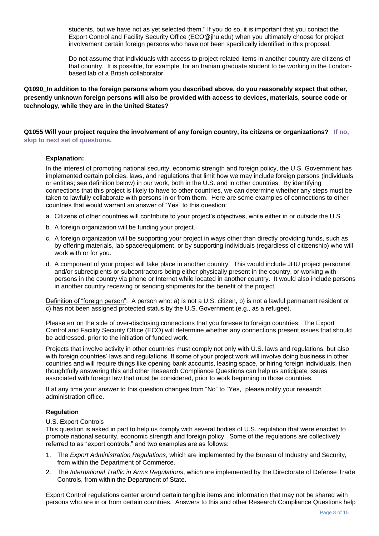students, but we have not as yet selected them." If you do so, it is important that you contact the Export Control and Facility Security Office (ECO@jhu.edu) when you ultimately choose for project involvement certain foreign persons who have not been specifically identified in this proposal.

Do not assume that individuals with access to project-related items in another country are citizens of that country. It is possible, for example, for an Iranian graduate student to be working in the Londonbased lab of a British collaborator.

**Q1090\_In addition to the foreign persons whom you described above, do you reasonably expect that other, presently unknown foreign persons will also be provided with access to devices, materials, source code or technology, while they are in the United States?**

**Q1055 Will your project require the involvement of any foreign country, its citizens or organizations? If no, skip to next set of questions.**

#### **Explanation:**

In the interest of promoting national security, economic strength and foreign policy, the U.S. Government has implemented certain policies, laws, and regulations that limit how we may include foreign persons (individuals or entities; see definition below) in our work, both in the U.S. and in other countries. By identifying connections that this project is likely to have to other countries, we can determine whether any steps must be taken to lawfully collaborate with persons in or from them. Here are some examples of connections to other countries that would warrant an answer of "Yes" to this question:

- a. Citizens of other countries will contribute to your project's objectives, while either in or outside the U.S.
- b. A foreign organization will be funding your project.
- c. A foreign organization will be supporting your project in ways other than directly providing funds, such as by offering materials, lab space/equipment, or by supporting individuals (regardless of citizenship) who will work with or for you.
- d. A component of your project will take place in another country. This would include JHU project personnel and/or subrecipients or subcontractors being either physically present in the country, or working with persons in the country via phone or Internet while located in another country. It would also include persons in another country receiving or sending shipments for the benefit of the project.

Definition of "foreign person": A person who: a) is not a U.S. citizen, b) is not a lawful permanent resident or c) has not been assigned protected status by the U.S. Government (e.g., as a refugee).

Please err on the side of over-disclosing connections that you foresee to foreign countries. The Export Control and Facility Security Office (ECO) will determine whether any connections present issues that should be addressed, prior to the initiation of funded work.

Projects that involve activity in other countries must comply not only with U.S. laws and regulations, but also with foreign countries' laws and regulations. If some of your project work will involve doing business in other countries and will require things like opening bank accounts, leasing space, or hiring foreign individuals, then thoughtfully answering this and other Research Compliance Questions can help us anticipate issues associated with foreign law that must be considered, prior to work beginning in those countries.

If at any time your answer to this question changes from "No" to "Yes," please notify your research administration office.

#### **Regulation**

#### U.S. Export Controls

This question is asked in part to help us comply with several bodies of U.S. regulation that were enacted to promote national security, economic strength and foreign policy. Some of the regulations are collectively referred to as "export controls," and two examples are as follows:

- 1. The *Export Administration Regulations*, which are implemented by the Bureau of Industry and Security, from within the Department of Commerce.
- 2. The *International Traffic in Arms Regulations*, which are implemented by the Directorate of Defense Trade Controls, from within the Department of State.

Export Control regulations center around certain tangible items and information that may not be shared with persons who are in or from certain countries. Answers to this and other Research Compliance Questions help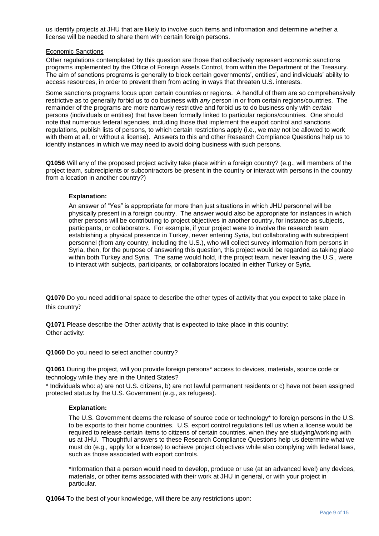us identify projects at JHU that are likely to involve such items and information and determine whether a license will be needed to share them with certain foreign persons.

#### Economic Sanctions

Other regulations contemplated by this question are those that collectively represent economic sanctions programs implemented by the Office of Foreign Assets Control, from within the Department of the Treasury. The aim of sanctions programs is generally to block certain governments', entities', and individuals' ability to access resources, in order to prevent them from acting in ways that threaten U.S. interests.

Some sanctions programs focus upon certain countries or regions. A handful of them are so comprehensively restrictive as to generally forbid us to do business with *any* person in or from certain regions/countries. The remainder of the programs are more narrowly restrictive and forbid us to do business only with *certain* persons (individuals or entities) that have been formally linked to particular regions/countries. One should note that numerous federal agencies, including those that implement the export control and sanctions regulations, publish lists of persons, to which certain restrictions apply (i.e., we may not be allowed to work with them at all, or without a license). Answers to this and other Research Compliance Questions help us to identify instances in which we may need to avoid doing business with such persons.

**Q1056** Will any of the proposed project activity take place within a foreign country? (e.g., will members of the project team, subrecipients or subcontractors be present in the country or interact with persons in the country from a location in another country?)

#### **Explanation:**

An answer of "Yes" is appropriate for more than just situations in which JHU personnel will be physically present in a foreign country. The answer would also be appropriate for instances in which other persons will be contributing to project objectives in another country, for instance as subjects, participants, or collaborators. For example, if your project were to involve the research team establishing a physical presence in Turkey, never entering Syria, but collaborating with subrecipient personnel (from any country, including the U.S.), who will collect survey information from persons in Syria, then, for the purpose of answering this question, this project would be regarded as taking place within both Turkey and Syria. The same would hold, if the project team, never leaving the U.S., were to interact with subjects, participants, or collaborators located in either Turkey or Syria.

**Q1070** Do you need additional space to describe the other types of activity that you expect to take place in this country?

**Q1071** Please describe the Other activity that is expected to take place in this country: Other activity:

**Q1060** Do you need to select another country?

**Q1061** During the project, will you provide foreign persons\* access to devices, materials, source code or technology while they are in the United States?

\* Individuals who: a) are not U.S. citizens, b) are not lawful permanent residents or c) have not been assigned protected status by the U.S. Government (e.g., as refugees).

#### **Explanation:**

The U.S. Government deems the release of source code or technology\* to foreign persons in the U.S. to be exports to their home countries. U.S. export control regulations tell us when a license would be required to release certain items to citizens of certain countries, when they are studying/working with us at JHU. Thoughtful answers to these Research Compliance Questions help us determine what we must do (e.g., apply for a license) to achieve project objectives while also complying with federal laws, such as those associated with export controls.

\*Information that a person would need to develop, produce or use (at an advanced level) any devices, materials, or other items associated with their work at JHU in general, or with your project in particular.

**Q1064** To the best of your knowledge, will there be any restrictions upon: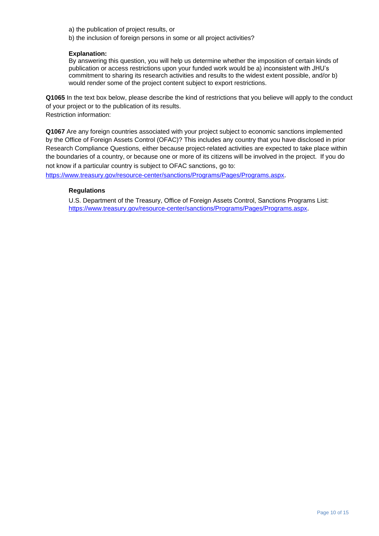a) the publication of project results, or

b) the inclusion of foreign persons in some or all project activities?

#### **Explanation:**

By answering this question, you will help us determine whether the imposition of certain kinds of publication or access restrictions upon your funded work would be a) inconsistent with JHU's commitment to sharing its research activities and results to the widest extent possible, and/or b) would render some of the project content subject to export restrictions.

**Q1065** In the text box below, please describe the kind of restrictions that you believe will apply to the conduct of your project or to the publication of its results. Restriction information:

**Q1067** Are any foreign countries associated with your project subject to economic sanctions implemented by the Office of Foreign Assets Control (OFAC)? This includes any country that you have disclosed in prior Research Compliance Questions, either because project-related activities are expected to take place within the boundaries of a country, or because one or more of its citizens will be involved in the project. If you do not know if a particular country is subject to OFAC sanctions, go to:

<https://www.treasury.gov/resource-center/sanctions/Programs/Pages/Programs.aspx>.

#### **Regulations**

U.S. Department of the Treasury, Office of Foreign Assets Control, Sanctions Programs List: <https://www.treasury.gov/resource-center/sanctions/Programs/Pages/Programs.aspx>.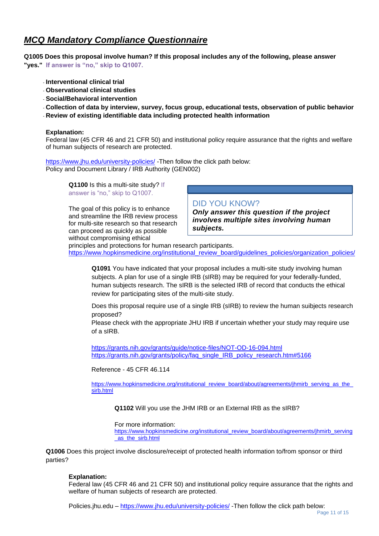## *MCQ Mandatory Compliance Questionnaire*

**Q1005 Does this proposal involve human? If this proposal includes any of the following, please answer "yes." If answer is "no," skip to Q1007.**

- **Interventional clinical trial**
- **Observational clinical studies**
- **Social/Behavioral intervention**
- **Collection of data by interview, survey, focus group, educational tests, observation of public behavior**
- **Review of existing identifiable data including protected health information**

#### **Explanation:**

Federal law (45 CFR 46 and 21 CFR 50) and institutional policy require assurance that the rights and welfare of human subjects of research are protected.

<https://www.jhu.edu/university-policies/> -Then follow the click path below: Policy and Document Library / IRB Authority (GEN002)

> **Q1100** Is this a multi-site study? If answer is "no," skip to Q1007.

The goal of this policy is to enhance and streamline the IRB review process for multi-site research so that research can proceed as quickly as possible without compromising ethical

## DID YOU KNOW?

*Only answer this question if the project involves multiple sites involving human subjects.*

principles and protections for human research participants. [https://www.hopkinsmedicine.org/institutional\\_review\\_board/guidelines\\_policies/organization\\_policies/](https://www.hopkinsmedicine.org/institutional_review_board/guidelines_policies/organization_policies/)

**Q1091** You have indicated that your proposal includes a multi-site study involving human subjects. A plan for use of a single IRB (sIRB) may be required for your federally-funded, human subjects research. The sIRB is the selected IRB of record that conducts the ethical review for participating sites of the multi-site study.

Does this proposal require use of a single IRB (sIRB) to review the human suibjects research proposed?

Please check with the appropriate JHU IRB if uncertain whether your study may require use of a sIRB.

<https://grants.nih.gov/grants/guide/notice-files/NOT-OD-16-094.html> [https://grants.nih.gov/grants/policy/faq\\_single\\_IRB\\_policy\\_research.htm#5166](https://grants.nih.gov/grants/policy/faq_single_IRB_policy_research.htm#5166)

Reference - 45 CFR 46.114

[https://www.hopkinsmedicine.org/institutional\\_review\\_board/about/agreements/jhmirb\\_serving\\_as\\_the\\_](https://www.hopkinsmedicine.org/institutional_review_board/about/agreements/jhmirb_serving_as_the_sirb.html) [sirb.html](https://www.hopkinsmedicine.org/institutional_review_board/about/agreements/jhmirb_serving_as_the_sirb.html)

**Q1102** Will you use the JHM IRB or an External IRB as the sIRB?

For more information:

[https://www.hopkinsmedicine.org/institutional\\_review\\_board/about/agreements/jhmirb\\_serving](https://www.hopkinsmedicine.org/institutional_review_board/about/agreements/jhmirb_serving_as_the_sirb.html) [\\_as\\_the\\_sirb.html](https://www.hopkinsmedicine.org/institutional_review_board/about/agreements/jhmirb_serving_as_the_sirb.html)

**Q1006** Does this project involve disclosure/receipt of protected health information to/from sponsor or third parties?

#### **Explanation:**

Federal law (45 CFR 46 and 21 CFR 50) and institutional policy require assurance that the rights and welfare of human subjects of research are protected.

Policies.jhu.edu – <https://www.jhu.edu/university-policies/> -Then follow the click path below: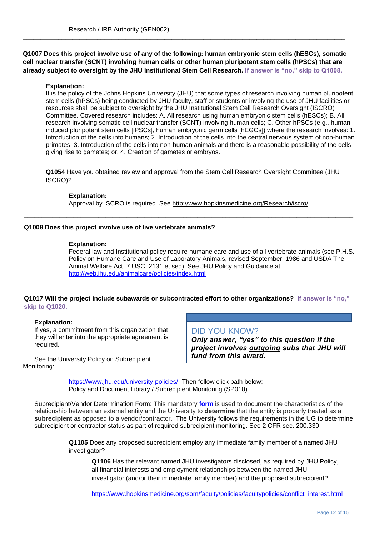**Q1007 Does this project involve use of any of the following: human embryonic stem cells (hESCs), somatic cell nuclear transfer (SCNT) involving human cells or other human pluripotent stem cells (hPSCs) that are already subject to oversight by the JHU Institutional Stem Cell Research. If answer is "no," skip to Q1008.**

 $\_$  , and the set of the set of the set of the set of the set of the set of the set of the set of the set of the set of the set of the set of the set of the set of the set of the set of the set of the set of the set of th

#### **Explanation:**

It is the policy of the Johns Hopkins University (JHU) that some types of research involving human pluripotent stem cells (hPSCs) being conducted by JHU faculty, staff or students or involving the use of JHU facilities or resources shall be subject to oversight by the JHU Institutional Stem Cell Research Oversight (ISCRO) Committee. Covered research includes: A. All research using human embryonic stem cells (hESCs); B. All research involving somatic cell nuclear transfer (SCNT) involving human cells; C. Other hPSCs (e.g., human induced pluripotent stem cells [iPSCs], human embryonic germ cells [hEGCs]) where the research involves: 1. Introduction of the cells into humans; 2. Introduction of the cells into the central nervous system of non-human primates; 3. Introduction of the cells into non-human animals and there is a reasonable possibility of the cells giving rise to gametes; or, 4. Creation of gametes or embryos.

**Q1054** Have you obtained review and approval from the Stem Cell Research Oversight Committee (JHU ISCRO)?

#### **Explanation:**

Approval by ISCRO is required. See<http://www.hopkinsmedicine.org/Research/iscro/> **\_\_\_\_\_\_\_\_\_\_\_\_\_\_\_\_\_\_\_\_\_\_\_\_\_\_\_\_\_\_\_\_\_\_\_\_\_\_\_\_\_\_\_\_\_\_\_\_\_\_\_\_\_\_\_\_\_\_\_\_\_\_\_\_\_\_\_\_\_\_\_\_\_\_\_\_\_\_\_\_\_\_\_\_\_\_\_\_\_\_\_\_\_**

#### **Q1008 Does this project involve use of live vertebrate animals?**

#### **Explanation:**

Federal law and Institutional policy require humane care and use of all vertebrate animals (see P.H.S. Policy on Humane Care and Use of Laboratory Animals, revised September, 1986 and USDA The Animal Welfare Act, 7 USC, 2131 et seq). See JHU Policy and Guidance at: <http://web.jhu.edu/animalcare/policies/index.html>

## **Q1017 Will the project include subawards or subcontracted effort to other organizations? If answer is "no," skip to Q1020.**

**\_\_\_\_\_\_\_\_\_\_\_\_\_\_\_\_\_\_\_\_\_\_\_\_\_\_\_\_\_\_\_\_\_\_\_\_\_\_\_\_\_\_\_\_\_\_\_\_\_\_\_\_\_\_\_\_\_\_\_\_\_\_\_\_\_\_\_\_\_\_\_\_\_\_\_\_\_\_\_\_\_\_\_\_\_\_\_\_\_\_\_\_\_**

#### **Explanation:**

If yes, a commitment from this organization that they will enter into the appropriate agreement is required.

See the University Policy on Subrecipient Monitoring:

## DID YOU KNOW?

*Only answer, "yes" to this question if the project involves outgoing subs that JHU will fund from this award.*

<https://www.jhu.edu/university-policies/> -Then follow click path below: Policy and Document Library / Subrecipient Monitoring (SP010)

Subrecipient/Vendor Determination Form: This mandatory **[form](https://research.jhu.edu/jhura/wp-content/uploads/sites/2/2016/03/subawards-sub-determination-form.pdf)** is used to document the characteristics of the relationship between an external entity and the University to **determine** that the entity is properly treated as a **subrecipient** as opposed to a vendor/contractor. The University follows the requirements in the UG to determine subrecipient or contractor status as part of required subrecipient monitoring. See 2 CFR sec. 200.330

> **Q1105** Does any proposed subrecipient employ any immediate family member of a named JHU investigator?

**Q1106** Has the relevant named JHU investigators disclosed, as required by JHU Policy, all financial interests and employment relationships between the named JHU investigator (and/or their immediate family member) and the proposed subrecipient?

[https://www.hopkinsmedicine.org/som/faculty/policies/facultypolicies/conflict\\_interest.html](https://www.hopkinsmedicine.org/som/faculty/policies/facultypolicies/conflict_interest.html)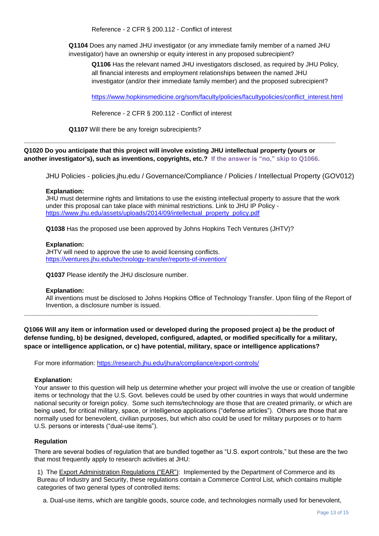Reference - 2 CFR § 200.112 - Conflict of interest

**Q1104** Does any named JHU investigator (or any immediate family member of a named JHU investigator) have an ownership or equity interest in any proposed subrecipient?

**Q1106** Has the relevant named JHU investigators disclosed, as required by JHU Policy, all financial interests and employment relationships between the named JHU investigator (and/or their immediate family member) and the proposed subrecipient?

[https://www.hopkinsmedicine.org/som/faculty/policies/facultypolicies/conflict\\_interest.html](https://www.hopkinsmedicine.org/som/faculty/policies/facultypolicies/conflict_interest.html)

Reference - 2 CFR § 200.112 - Conflict of interest

**Q1107** Will there be any foreign subrecipients?

**Q1020 Do you anticipate that this project will involve existing JHU intellectual property (yours or another investigator's), such as inventions, copyrights, etc.? If the answer is "no," skip to Q1066.**

**\_\_\_\_\_\_\_\_\_\_\_\_\_\_\_\_\_\_\_\_\_\_\_\_\_\_\_\_\_\_\_\_\_\_\_\_\_\_\_\_\_\_\_\_\_\_\_\_\_\_\_\_\_\_\_\_\_\_\_\_\_\_\_\_\_\_\_\_\_\_\_\_\_\_\_\_\_\_\_\_\_\_\_\_\_\_\_\_**

JHU Policies - policies.jhu.edu / Governance/Compliance / Policies / Intellectual Property (GOV012)

#### **Explanation:**

JHU must determine rights and limitations to use the existing intellectual property to assure that the work under this proposal can take place with minimal restrictions. Link to JHU IP Policy [https://www.jhu.edu/assets/uploads/2014/09/intellectual\\_property\\_policy.pdf](https://www.jhu.edu/assets/uploads/2014/09/intellectual_property_policy.pdf)

**Q1038** Has the proposed use been approved by Johns Hopkins Tech Ventures (JHTV)?

#### **Explanation:**

JHTV will need to approve the use to avoid licensing conflicts. <https://ventures.jhu.edu/technology-transfer/reports-of-invention/>

**Q1037** Please identify the JHU disclosure number.

#### **Explanation:**

All inventions must be disclosed to Johns Hopkins Office of Technology Transfer. Upon filing of the Report of Invention, a disclosure number is issued.

**Q1066 Will any item or information used or developed during the proposed project a) be the product of defense funding, b) be designed, developed, configured, adapted, or modified specifically for a military, space or intelligence application, or c) have potential, military, space or intelligence applications?**

**\_\_\_\_\_\_\_\_\_\_\_\_\_\_\_\_\_\_\_\_\_\_\_\_\_\_\_\_\_\_\_\_\_\_\_\_\_\_\_\_\_\_\_\_\_\_\_\_\_\_\_\_\_\_\_\_\_\_\_\_\_\_\_\_\_\_\_\_\_\_\_\_\_\_\_\_\_\_\_\_\_\_\_**

For more information:<https://research.jhu.edu/jhura/compliance/export-controls/>

#### **Explanation:**

Your answer to this question will help us determine whether your project will involve the use or creation of tangible items or technology that the U.S. Govt. believes could be used by other countries in ways that would undermine national security or foreign policy. Some such items/technology are those that are created primarily, or which are being used, for critical military, space, or intelligence applications ("defense articles"). Others are those that are normally used for benevolent, civilian purposes, but which also could be used for military purposes or to harm U.S. persons or interests ("dual-use items").

## **Regulation**

There are several bodies of regulation that are bundled together as "U.S. export controls," but these are the two that most frequently apply to research activities at JHU:

1) The Export Administration Regulations ("EAR"): Implemented by the Department of Commerce and its Bureau of Industry and Security, these regulations contain a Commerce Control List, which contains multiple categories of two general types of controlled items:

a. Dual-use items, which are tangible goods, source code, and technologies normally used for benevolent,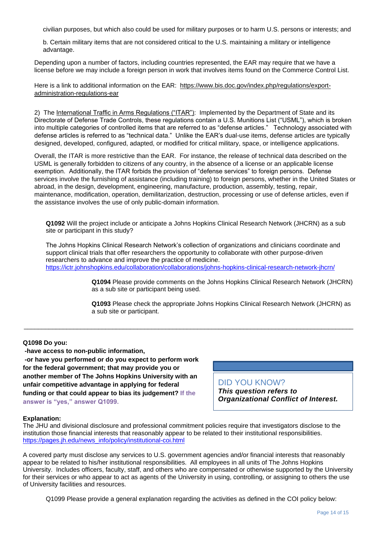civilian purposes, but which also could be used for military purposes or to harm U.S. persons or interests; and

b. Certain military items that are not considered critical to the U.S. maintaining a military or intelligence advantage.

Depending upon a number of factors, including countries represented, the EAR may require that we have a license before we may include a foreign person in work that involves items found on the Commerce Control List.

Here is a link to additional information on the EAR: [https://www.bis.doc.gov/index.php/regulations/export](https://www.bis.doc.gov/index.php/regulations/export-administration-regulations-ear)[administration-regulations-ear](https://www.bis.doc.gov/index.php/regulations/export-administration-regulations-ear)

2) The International Traffic in Arms Regulations ("ITAR"): Implemented by the Department of State and its Directorate of Defense Trade Controls, these regulations contain a U.S. Munitions List ("USML"), which is broken into multiple categories of controlled items that are referred to as "defense articles." Technology associated with defense articles is referred to as "technical data." Unlike the EAR's dual-use items, defense articles are typically designed, developed, configured, adapted, or modified for critical military, space, or intelligence applications.

Overall, the ITAR is more restrictive than the EAR. For instance, the release of technical data described on the USML is generally forbidden to citizens of any country, in the absence of a license or an applicable license exemption. Additionally, the ITAR forbids the provision of "defense services" to foreign persons. Defense services involve the furnishing of assistance (including training) to foreign persons, whether in the United States or abroad, in the design, development, engineering, manufacture, production, assembly, testing, repair, maintenance, modification, operation, demilitarization, destruction, processing or use of defense articles, even if the assistance involves the use of only public-domain information.

**Q1092** Will the project include or anticipate a Johns Hopkins Clinical Research Network (JHCRN) as a sub site or participant in this study?

The Johns Hopkins Clinical Research Network's collection of organizations and clinicians coordinate and support clinical trials that offer researchers the opportunity to collaborate with other purpose-driven researchers to advance and improve the practice of medicine. <https://ictr.johnshopkins.edu/collaboration/collaborations/johns-hopkins-clinical-research-network-jhcrn/>

 $\_$  ,  $\_$  ,  $\_$  ,  $\_$  ,  $\_$  ,  $\_$  ,  $\_$  ,  $\_$  ,  $\_$  ,  $\_$  ,  $\_$  ,  $\_$  ,  $\_$  ,  $\_$  ,  $\_$  ,  $\_$  ,  $\_$  ,  $\_$  ,  $\_$  ,  $\_$  ,  $\_$  ,  $\_$  ,  $\_$  ,  $\_$  ,  $\_$  ,  $\_$  ,  $\_$  ,  $\_$  ,  $\_$  ,  $\_$  ,  $\_$  ,  $\_$  ,  $\_$  ,  $\_$  ,  $\_$  ,  $\_$  ,  $\_$  ,

**Q1094** Please provide comments on the Johns Hopkins Clinical Research Network (JHCRN) as a sub site or participant being used.

**Q1093** Please check the appropriate Johns Hopkins Clinical Research Network (JHCRN) as a sub site or participant.

## **Q1098 Do you:**

**-have access to non-public information,** 

**-or have you performed or do you expect to perform work for the federal government; that may provide you or another member of The Johns Hopkins University with an unfair competitive advantage in applying for federal funding or that could appear to bias its judgement? If the answer is "yes," answer Q1099.**

DID YOU KNOW?

*This question refers to Organizational Conflict of Interest.*

## **Explanation:**

The JHU and divisional disclosure and professional commitment policies require that investigators disclose to the institution those financial interests that reasonably appear to be related to their institutional responsibilities. [https://pages.jh.edu/news\\_info/policy/institutional-coi.html](https://pages.jh.edu/news_info/policy/institutional-coi.html)

A covered party must disclose any services to U.S. government agencies and/or financial interests that reasonably appear to be related to his/her institutional responsibilities. All employees in all units of The Johns Hopkins University. Includes officers, faculty, staff, and others who are compensated or otherwise supported by the University for their services or who appear to act as agents of the University in using, controlling, or assigning to others the use of University facilities and resources.

Q1099 Please provide a general explanation regarding the activities as defined in the COI policy below: